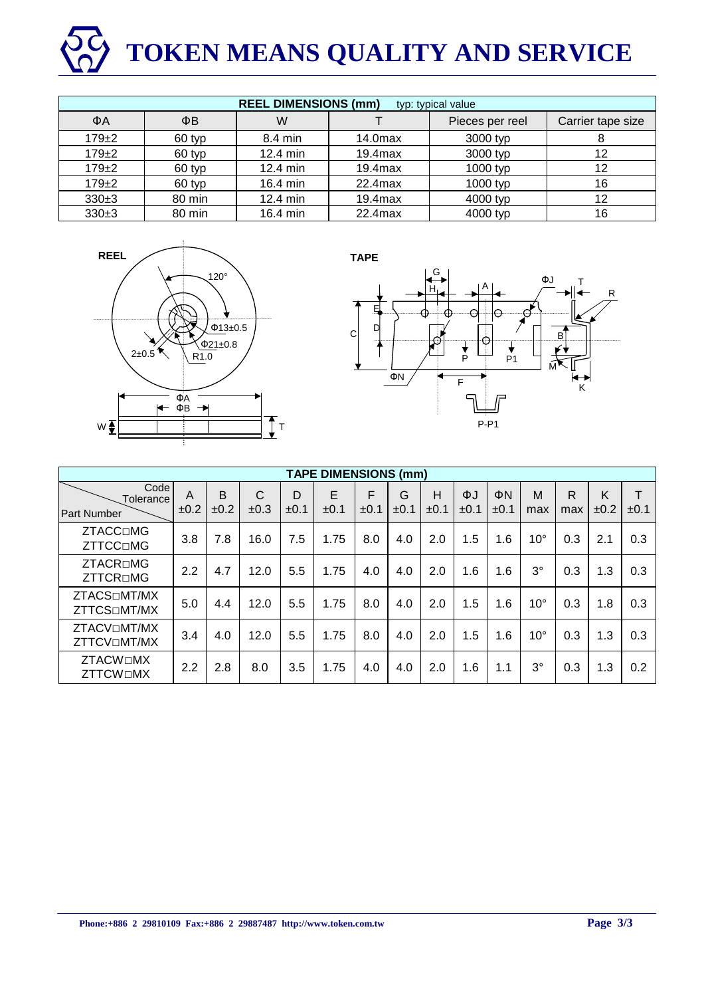# **TOKEN MEANS QUALITY AND SERVICE**

| <b>REEL DIMENSIONS (mm)</b><br>typ: typical value |        |          |            |                 |                   |  |  |  |  |
|---------------------------------------------------|--------|----------|------------|-----------------|-------------------|--|--|--|--|
| ΦA                                                | ΦB     | W        |            | Pieces per reel | Carrier tape size |  |  |  |  |
| $179 + 2$                                         | 60 typ | 8.4 min  | $14.0$ max | 3000 typ        |                   |  |  |  |  |
| $179 + 2$                                         | 60 typ | 12.4 min | $19.4$ max | 3000 typ        | 12                |  |  |  |  |
| $179 + 2$                                         | 60 typ | 12.4 min | $19.4$ max | 1000 typ        | 12                |  |  |  |  |
| $179 + 2$                                         | 60 typ | 16.4 min | 22.4max    | 1000 typ        | 16                |  |  |  |  |
| $330+3$                                           | 80 min | 12.4 min | $19.4$ max | 4000 typ        | 12                |  |  |  |  |
| $330+3$                                           | 80 min | 16.4 min | 22.4max    | 4000 typ        | 16                |  |  |  |  |





| <b>TAPE DIMENSIONS (mm)</b>                     |           |           |           |                |            |           |           |                |            |            |              |                     |           |           |
|-------------------------------------------------|-----------|-----------|-----------|----------------|------------|-----------|-----------|----------------|------------|------------|--------------|---------------------|-----------|-----------|
| Code<br>Tolerance<br>Part Number                | A<br>±0.2 | B<br>±0.2 | C<br>±0.3 | D<br>$\pm 0.1$ | E.<br>±0.1 | F<br>±0.1 | G<br>±0.1 | Н<br>$\pm 0.1$ | ΦJ<br>±0.1 | ΦN<br>±0.1 | M<br>max     | $\mathsf{R}$<br>max | K<br>±0.2 | Т<br>±0.1 |
| <b>ZTACC</b> □MG<br><b>ZTTCC</b> □MG            | 3.8       | 7.8       | 16.0      | 7.5            | 1.75       | 8.0       | 4.0       | 2.0            | 1.5        | 1.6        | $10^{\circ}$ | 0.3                 | 2.1       | 0.3       |
| ZTACR□MG<br><b>ZTTCR</b> □MG                    | 2.2       | 4.7       | 12.0      | 5.5            | 1.75       | 4.0       | 4.0       | 2.0            | 1.6        | 1.6        | $3^{\circ}$  | 0.3                 | 1.3       | 0.3       |
| ZTACS <sub>IMT</sub> /MX<br><b>ZTTCS</b> □MT/MX | 5.0       | 4.4       | 12.0      | 5.5            | 1.75       | 8.0       | 4.0       | 2.0            | 1.5        | 1.6        | $10^{\circ}$ | 0.3                 | 1.8       | 0.3       |
| ZTACVOMT/MX<br>ZTTCVOMT/MX                      | 3.4       | 4.0       | 12.0      | 5.5            | 1.75       | 8.0       | 4.0       | 2.0            | 1.5        | 1.6        | $10^{\circ}$ | 0.3                 | 1.3       | 0.3       |
| <b>ZTACW</b> □MX<br><b>ZTTCWOMX</b>             | 2.2       | 2.8       | 8.0       | 3.5            | 1.75       | 4.0       | 4.0       | 2.0            | 1.6        | 1.1        | $3^{\circ}$  | 0.3                 | 1.3       | 0.2       |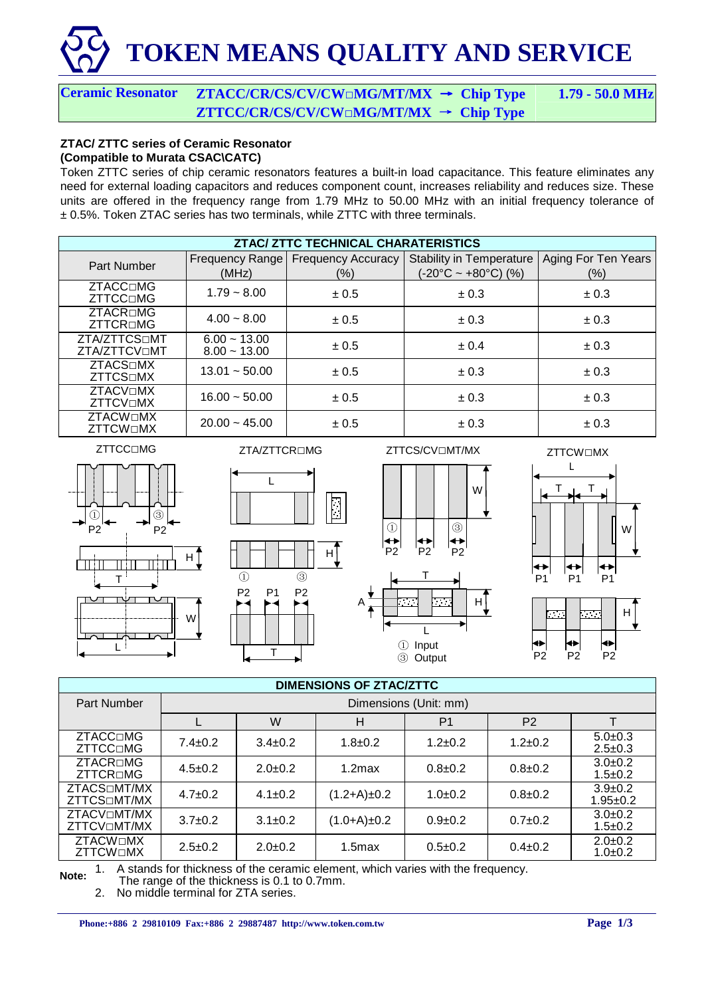# **TOKEN MEANS QUALITY AND SERVICE**

### **Ceramic Resonator ZTACC/CR/CS/CV/CW**□**MG/MT/MX Chip Type 1.79 - 50.0 MHz ZTTCC/CR/CS/CV/CW**□**MG/MT/MX Chip Type**

#### **ZTAC/ ZTTC series of Ceramic Resonator (Compatible to Murata CSAC\CATC)**

Token ZTTC series of chip ceramic resonators features a built-in load capacitance. This feature eliminates any need for external loading capacitors and reduces component count, increases reliability and reduces size. These units are offered in the frequency range from 1.79 MHz to 50.00 MHz with an initial frequency tolerance of ± 0.5%. Token ZTAC series has two terminals, while ZTTC with three terminals.

| <b>ZTAC/ ZTTC TECHNICAL CHARATERISTICS</b> |                                  |                           |                                     |                     |  |  |  |  |
|--------------------------------------------|----------------------------------|---------------------------|-------------------------------------|---------------------|--|--|--|--|
| Part Number                                | <b>Frequency Range</b>           | <b>Frequency Accuracy</b> | <b>Stability in Temperature</b>     | Aging For Ten Years |  |  |  |  |
|                                            | (MHz)                            | (%)                       | $(-20^{\circ}C - +80^{\circ}C)$ (%) | $(\% )$             |  |  |  |  |
| <b>ZTACC</b> □MG<br><b>ZTTCC</b> □MG       | $1.79 - 8.00$                    | ± 0.5                     | $\pm 0.3$                           | $\pm 0.3$           |  |  |  |  |
| ZTACR□MG<br><b>ZTTCR</b> □MG               | $4.00 - 8.00$                    | ± 0.5                     | $\pm 0.3$                           | $\pm 0.3$           |  |  |  |  |
| ZTA/ZTTCSOMT<br>ZTA/ZTTCVOMT               | $6.00 - 13.00$<br>$8.00 - 13.00$ | ± 0.5                     | ± 0.4                               | $\pm 0.3$           |  |  |  |  |
| <b>ZTACS</b> ⊡MX<br><b>ZTTCS</b> □MX       | $13.01 - 50.00$                  | ± 0.5                     | $\pm 0.3$                           | $\pm 0.3$           |  |  |  |  |
| <b>ZTACVOMX</b><br><b>ZTTCVOMX</b>         | $16.00 - 50.00$                  | ± 0.5                     | $\pm 0.3$                           | $\pm 0.3$           |  |  |  |  |
| <b>ZTACW</b> ⊡MX<br><b>ZTTCWOMX</b>        | $20.00 - 45.00$                  | $\pm 0.5$                 | $\pm 0.3$                           | $\pm 0.3$           |  |  |  |  |

ZTTCC□MG











| <b>DIMENSIONS OF ZTAC/ZTTC</b>                       |                       |                                            |                    |               |               |                                 |  |  |  |  |
|------------------------------------------------------|-----------------------|--------------------------------------------|--------------------|---------------|---------------|---------------------------------|--|--|--|--|
| <b>Part Number</b>                                   | Dimensions (Unit: mm) |                                            |                    |               |               |                                 |  |  |  |  |
|                                                      |                       | W<br>P <sub>2</sub><br>н<br>P <sub>1</sub> |                    |               |               |                                 |  |  |  |  |
| ZTACC□MG<br>ZTTCC□MG                                 | $7.4 \pm 0.2$         | $3.4 \pm 0.2$                              | $1.8 \pm 0.2$      | $1.2 + 0.2$   | $1.2 + 0.2$   | $5.0+0.3$<br>$2.5 \pm 0.3$      |  |  |  |  |
| ZTACR□MG<br>ZTTCR□MG                                 | $4.5 \pm 0.2$         | $2.0+0.2$                                  | $1.2$ max          | $0.8 + 0.2$   | $0.8 + 0.2$   | $3.0+0.2$<br>$1.5 \pm 0.2$      |  |  |  |  |
| ZTACS <sub>IMT</sub> /MX<br>ZTTCS <sub>IMT</sub> /MX | $4.7 \pm 0.2$         | $4.1 \pm 0.2$                              | $(1.2+A) \pm 0.2$  | $1.0+0.2$     | $0.8 + 0.2$   | $3.9 \pm 0.2$<br>$1.95 \pm 0.2$ |  |  |  |  |
| ZTACVOMT/MX<br>ZTTCVOMT/MX                           | $3.7 \pm 0.2$         | $3.1 \pm 0.2$                              | (1.0+A)±0.2        | $0.9 + 0.2$   | $0.7+0.2$     | $3.0+0.2$<br>$1.5 \pm 0.2$      |  |  |  |  |
| <b>ZTACW</b> □MX<br><b>ZTTCWOMX</b>                  | $2.5 \pm 0.2$         | $2.0+0.2$                                  | 1.5 <sub>max</sub> | $0.5 \pm 0.2$ | $0.4 \pm 0.2$ | $2.0 \pm 0.2$<br>$1.0 + 0.2$    |  |  |  |  |

**Note:** 1. A stands for thickness of the ceramic element, which varies with the frequency.

The range of the thickness is 0.1 to 0.7mm.

2. No middle terminal for ZTA series.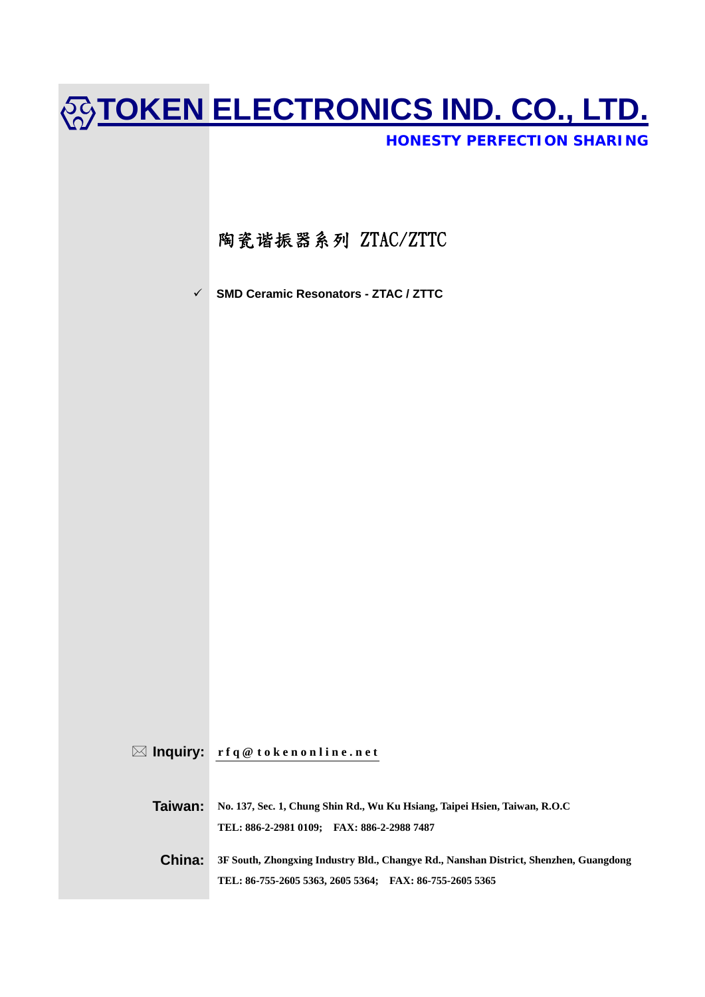# **TOKEN ELECTRONICS IND. CO., LTD.**

*HONESTY PERFECTION SHARING*

### 陶瓷谐振器系列 ZTAC/ZTTC

9 **SMD Ceramic Resonators - ZTAC / ZTTC** 

 $\boxtimes$  **Inquiry:**  $\mathbf{r} \mathbf{f} \mathbf{q} \otimes \mathbf{t} \mathbf{o} \mathbf{k} \mathbf{e} \mathbf{n} \mathbf{o} \mathbf{n} \mathbf{l} \mathbf{in} \mathbf{e} \mathbf{.} \mathbf{n} \mathbf{e} \mathbf{t}$ 

**Taiwan: No. 137, Sec. 1, Chung Shin Rd., Wu Ku Hsiang, Taipei Hsien, Taiwan, R.O.C TEL: 886-2-2981 0109; FAX: 886-2-2988 7487** 

**China: 3F South, Zhongxing Industry Bld., Changye Rd., Nanshan District, Shenzhen, Guangdong TEL: 86-755-2605 5363, 2605 5364; FAX: 86-755-2605 5365**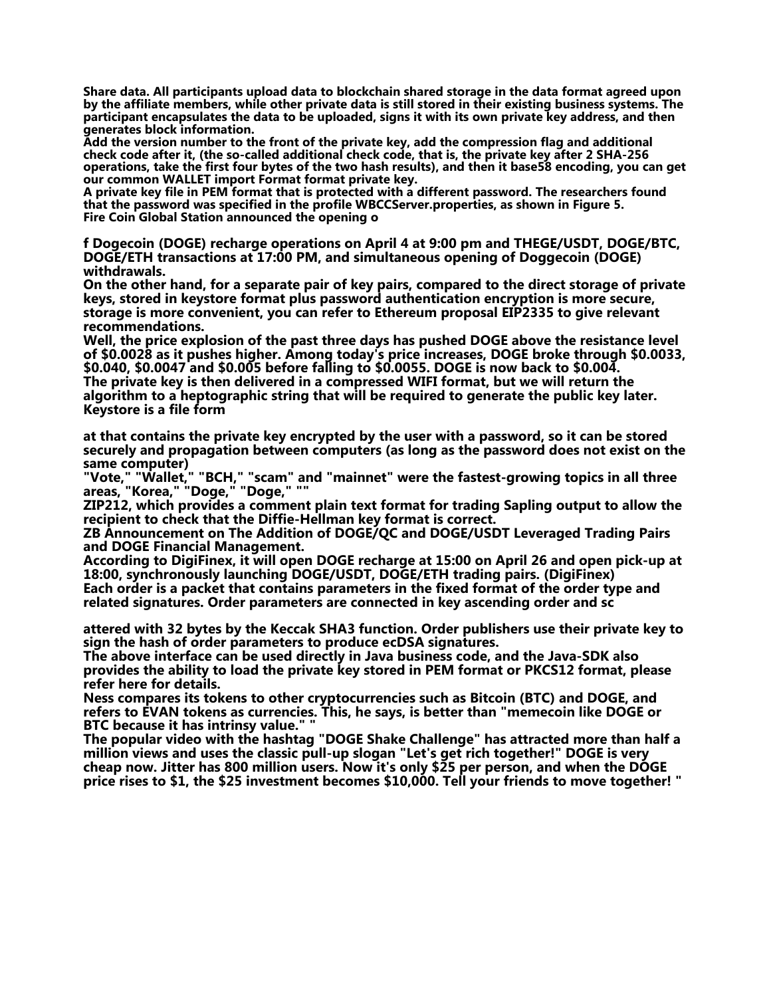**Share data. All participants upload data to blockchain shared storage in the data format agreed upon by the affiliate members, while other private data is still stored in their existing business systems. The participant encapsulates the data to be uploaded, signs it with its own private key address, and then generates block information.**

**Add the version number to the front of the private key, add the compression flag and additional check code after it, (the so-called additional check code, that is, the private key after 2 SHA-256 operations, take the first four bytes of the two hash results), and then it base58 encoding, you can get our common WALLET import Format format private key.**

**A private key file in PEM format that is protected with a different password. The researchers found that the password was specified in the profile WBCCServer.properties, as shown in Figure 5. Fire Coin Global Station announced the opening o**

**f Dogecoin (DOGE) recharge operations on April 4 at 9:00 pm and THEGE/USDT, DOGE/BTC, DOGE/ETH transactions at 17:00 PM, and simultaneous opening of Doggecoin (DOGE) withdrawals.**

**On the other hand, for a separate pair of key pairs, compared to the direct storage of private keys, stored in keystore format plus password authentication encryption is more secure, storage is more convenient, you can refer to Ethereum proposal EIP2335 to give relevant recommendations.**

**Well, the price explosion of the past three days has pushed DOGE above the resistance level of \$0.0028 as it pushes higher. Among today's price increases, DOGE broke through \$0.0033, \$0.040, \$0.0047 and \$0.005 before falling to \$0.0055. DOGE is now back to \$0.004. The private key is then delivered in a compressed WIFI format, but we will return the algorithm to a heptographic string that will be required to generate the public key later. Keystore is a file form**

**at that contains the private key encrypted by the user with a password, so it can be stored securely and propagation between computers (as long as the password does not exist on the same computer)**

**"Vote," "Wallet," "BCH," "scam" and "mainnet" were the fastest-growing topics in all three areas, "Korea," "Doge," "Doge," ""**

**ZIP212, which provides a comment plain text format for trading Sapling output to allow the recipient to check that the Diffie-Hellman key format is correct.**

**ZB Announcement on The Addition of DOGE/QC and DOGE/USDT Leveraged Trading Pairs and DOGE Financial Management.**

**According to DigiFinex, it will open DOGE recharge at 15:00 on April 26 and open pick-up at 18:00, synchronously launching DOGE/USDT, DOGE/ETH trading pairs. (DigiFinex) Each order is a packet that contains parameters in the fixed format of the order type and related signatures. Order parameters are connected in key ascending order and sc**

**attered with 32 bytes by the Keccak SHA3 function. Order publishers use their private key to sign the hash of order parameters to produce ecDSA signatures.**

**The above interface can be used directly in Java business code, and the Java-SDK also provides the ability to load the private key stored in PEM format or PKCS12 format, please refer here for details.**

**Ness compares its tokens to other cryptocurrencies such as Bitcoin (BTC) and DOGE, and refers to EVAN tokens as currencies. This, he says, is better than "memecoin like DOGE or BTC because it has intrinsy value." "**

**The popular video with the hashtag "DOGE Shake Challenge" has attracted more than half a million views and uses the classic pull-up slogan "Let's get rich together!" DOGE is very cheap now. Jitter has 800 million users. Now it's only \$25 per person, and when the DOGE price rises to \$1, the \$25 investment becomes \$10,000. Tell your friends to move together! "**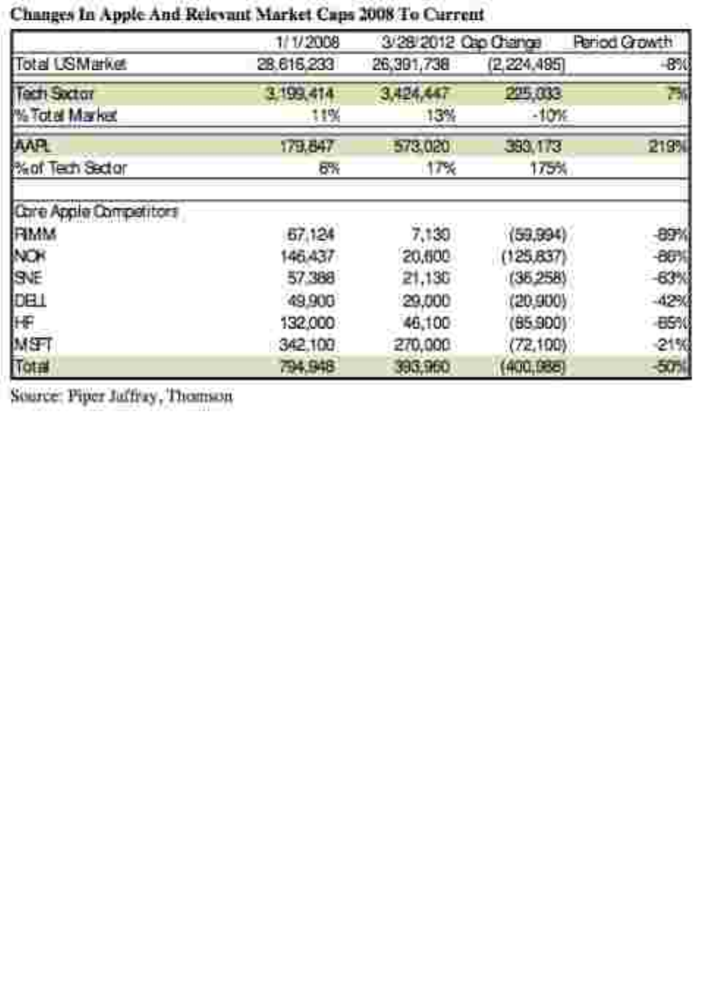## Changes In Apple And Relevant Market Caps 2008 To Current

|                               | 1/1/2008   | 3/28/2012 Oro O ange |             | <b>Rariod Growth</b> |
|-------------------------------|------------|----------------------|-------------|----------------------|
| Total LSM arket               | 28.615.233 | 26,391,738           | (2,224,495) | $-850$               |
| Tech Sector                   | 3.199.414  | 3,424,447            | 215,333     | B.                   |
| <b>Witcle Market</b>          | .11%       | 13%                  | $-10%$      |                      |
| <b>AAR</b>                    | 179.647    | 573,020              | 393.173     | 219%                 |
| <b><i>Man Tech Sector</i></b> | 6%         | 17%                  | 175%        |                      |
| Care Apple Competitors        |            |                      |             |                      |
| FIMM                          | 67.124     | 7,130                | (59.994)    | 897                  |
| NOR                           | 146.437    | 20,500               | (125.637)   | -88%                 |
| SVE                           | 57.388     | 21,130               | (35.258)    | 63%                  |
|                               | 49.900     | 29,000               | (20,900)    | 42%                  |
| DBI<br>HF                     | 132,000    | 46,100               | (85.900)    | 85%                  |
| MST                           | 342,100    | 270,000              | (72, 100)   | $-21%$               |
| Total                         | 794.948    | 393,960              | (400,088)   | $-50$                |

Source: Piper Juffray, Thomson